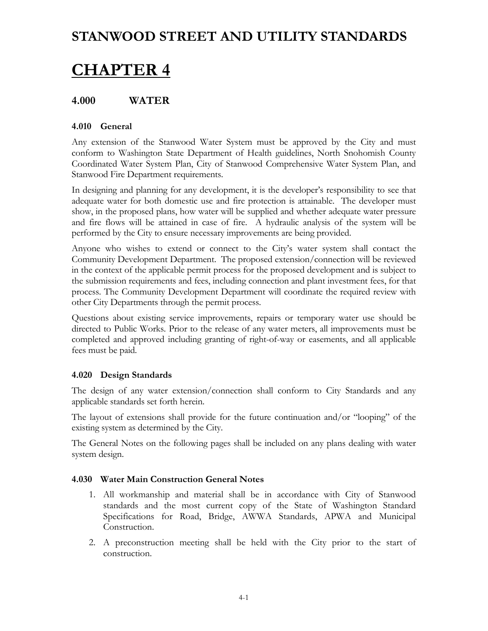# **CHAPTER 4**

## **4.000 WATER**

### **4.010 General**

Any extension of the Stanwood Water System must be approved by the City and must conform to Washington State Department of Health guidelines, North Snohomish County Coordinated Water System Plan, City of Stanwood Comprehensive Water System Plan, and Stanwood Fire Department requirements.

In designing and planning for any development, it is the developer's responsibility to see that adequate water for both domestic use and fire protection is attainable. The developer must show, in the proposed plans, how water will be supplied and whether adequate water pressure and fire flows will be attained in case of fire. A hydraulic analysis of the system will be performed by the City to ensure necessary improvements are being provided.

Anyone who wishes to extend or connect to the City's water system shall contact the Community Development Department. The proposed extension/connection will be reviewed in the context of the applicable permit process for the proposed development and is subject to the submission requirements and fees, including connection and plant investment fees, for that process. The Community Development Department will coordinate the required review with other City Departments through the permit process.

Questions about existing service improvements, repairs or temporary water use should be directed to Public Works. Prior to the release of any water meters, all improvements must be completed and approved including granting of right-of-way or easements, and all applicable fees must be paid.

#### **4.020 Design Standards**

The design of any water extension/connection shall conform to City Standards and any applicable standards set forth herein.

The layout of extensions shall provide for the future continuation and/or "looping" of the existing system as determined by the City.

The General Notes on the following pages shall be included on any plans dealing with water system design.

#### **4.030 Water Main Construction General Notes**

- 1. All workmanship and material shall be in accordance with City of Stanwood standards and the most current copy of the State of Washington Standard Specifications for Road, Bridge, AWWA Standards, APWA and Municipal Construction.
- 2. A preconstruction meeting shall be held with the City prior to the start of construction.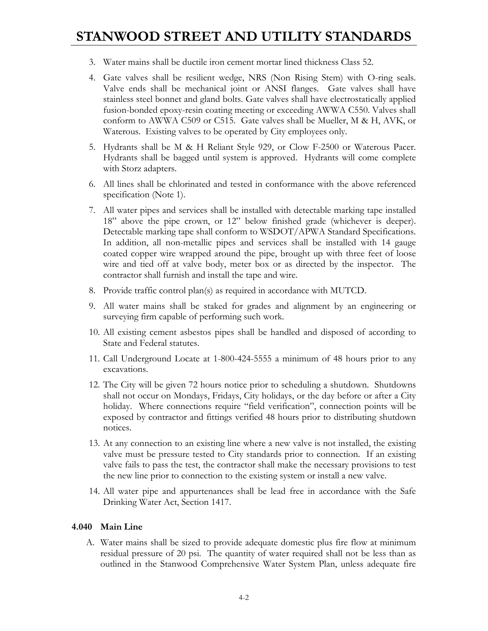- 3. Water mains shall be ductile iron cement mortar lined thickness Class 52.
- 4. Gate valves shall be resilient wedge, NRS (Non Rising Stem) with O-ring seals. Valve ends shall be mechanical joint or ANSI flanges. Gate valves shall have stainless steel bonnet and gland bolts. Gate valves shall have electrostatically applied fusion-bonded epoxy-resin coating meeting or exceeding AWWA C550. Valves shall conform to AWWA C509 or C515. Gate valves shall be Mueller, M & H, AVK, or Waterous. Existing valves to be operated by City employees only.
- 5. Hydrants shall be M & H Reliant Style 929, or Clow F-2500 or Waterous Pacer. Hydrants shall be bagged until system is approved. Hydrants will come complete with Storz adapters.
- 6. All lines shall be chlorinated and tested in conformance with the above referenced specification (Note 1).
- 7. All water pipes and services shall be installed with detectable marking tape installed 18" above the pipe crown, or 12" below finished grade (whichever is deeper). Detectable marking tape shall conform to WSDOT/APWA Standard Specifications. In addition, all non-metallic pipes and services shall be installed with 14 gauge coated copper wire wrapped around the pipe, brought up with three feet of loose wire and tied off at valve body, meter box or as directed by the inspector. The contractor shall furnish and install the tape and wire.
- 8. Provide traffic control plan(s) as required in accordance with MUTCD.
- 9. All water mains shall be staked for grades and alignment by an engineering or surveying firm capable of performing such work.
- 10. All existing cement asbestos pipes shall be handled and disposed of according to State and Federal statutes.
- 11. Call Underground Locate at 1-800-424-5555 a minimum of 48 hours prior to any excavations.
- 12. The City will be given 72 hours notice prior to scheduling a shutdown. Shutdowns shall not occur on Mondays, Fridays, City holidays, or the day before or after a City holiday. Where connections require "field verification", connection points will be exposed by contractor and fittings verified 48 hours prior to distributing shutdown notices.
- 13. At any connection to an existing line where a new valve is not installed, the existing valve must be pressure tested to City standards prior to connection. If an existing valve fails to pass the test, the contractor shall make the necessary provisions to test the new line prior to connection to the existing system or install a new valve.
- 14. All water pipe and appurtenances shall be lead free in accordance with the Safe Drinking Water Act, Section 1417.

#### **4.040 Main Line**

A. Water mains shall be sized to provide adequate domestic plus fire flow at minimum residual pressure of 20 psi. The quantity of water required shall not be less than as outlined in the Stanwood Comprehensive Water System Plan, unless adequate fire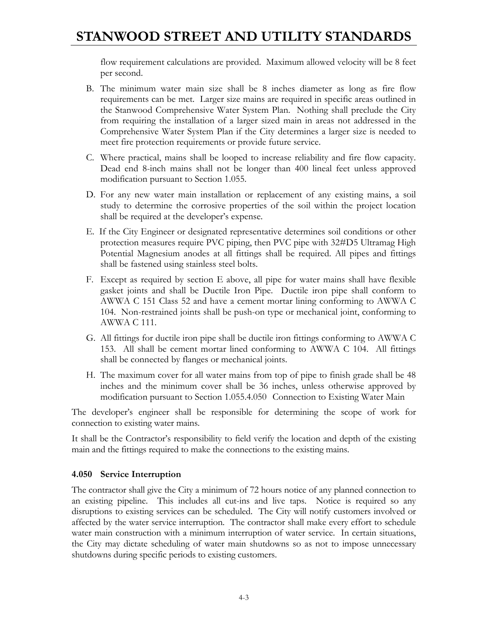flow requirement calculations are provided. Maximum allowed velocity will be 8 feet per second.

- B. The minimum water main size shall be 8 inches diameter as long as fire flow requirements can be met. Larger size mains are required in specific areas outlined in the Stanwood Comprehensive Water System Plan. Nothing shall preclude the City from requiring the installation of a larger sized main in areas not addressed in the Comprehensive Water System Plan if the City determines a larger size is needed to meet fire protection requirements or provide future service.
- C. Where practical, mains shall be looped to increase reliability and fire flow capacity. Dead end 8-inch mains shall not be longer than 400 lineal feet unless approved modification pursuant to Section 1.055.
- D. For any new water main installation or replacement of any existing mains, a soil study to determine the corrosive properties of the soil within the project location shall be required at the developer's expense.
- E. If the City Engineer or designated representative determines soil conditions or other protection measures require PVC piping, then PVC pipe with 32#D5 Ultramag High Potential Magnesium anodes at all fittings shall be required. All pipes and fittings shall be fastened using stainless steel bolts.
- F. Except as required by section E above, all pipe for water mains shall have flexible gasket joints and shall be Ductile Iron Pipe. Ductile iron pipe shall conform to AWWA C 151 Class 52 and have a cement mortar lining conforming to AWWA C 104. Non-restrained joints shall be push-on type or mechanical joint, conforming to AWWA C 111.
- G. All fittings for ductile iron pipe shall be ductile iron fittings conforming to AWWA C 153. All shall be cement mortar lined conforming to AWWA C 104. All fittings shall be connected by flanges or mechanical joints.
- H. The maximum cover for all water mains from top of pipe to finish grade shall be 48 inches and the minimum cover shall be 36 inches, unless otherwise approved by modification pursuant to Section 1.055.4.050 Connection to Existing Water Main

The developer's engineer shall be responsible for determining the scope of work for connection to existing water mains.

It shall be the Contractor's responsibility to field verify the location and depth of the existing main and the fittings required to make the connections to the existing mains.

### **4.050 Service Interruption**

The contractor shall give the City a minimum of 72 hours notice of any planned connection to an existing pipeline. This includes all cut-ins and live taps. Notice is required so any disruptions to existing services can be scheduled. The City will notify customers involved or affected by the water service interruption. The contractor shall make every effort to schedule water main construction with a minimum interruption of water service. In certain situations, the City may dictate scheduling of water main shutdowns so as not to impose unnecessary shutdowns during specific periods to existing customers.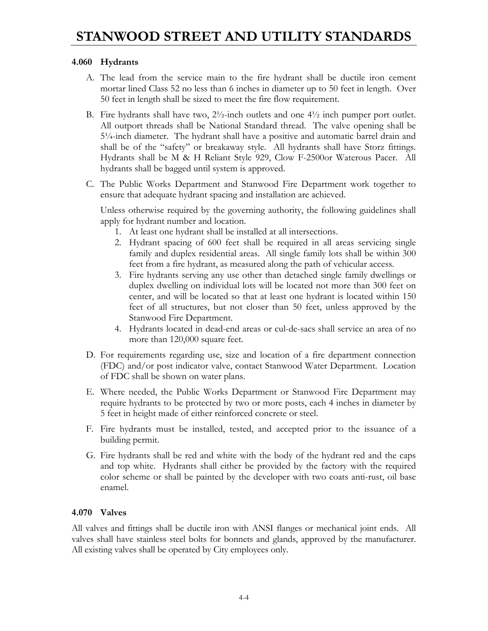#### **4.060 Hydrants**

- A. The lead from the service main to the fire hydrant shall be ductile iron cement mortar lined Class 52 no less than 6 inches in diameter up to 50 feet in length. Over 50 feet in length shall be sized to meet the fire flow requirement.
- B. Fire hydrants shall have two,  $2\frac{1}{2}$ -inch outlets and one  $4\frac{1}{2}$  inch pumper port outlet. All outport threads shall be National Standard thread. The valve opening shall be 5¼-inch diameter. The hydrant shall have a positive and automatic barrel drain and shall be of the "safety" or breakaway style. All hydrants shall have Storz fittings. Hydrants shall be M & H Reliant Style 929, Clow F-2500or Waterous Pacer. All hydrants shall be bagged until system is approved.
- C. The Public Works Department and Stanwood Fire Department work together to ensure that adequate hydrant spacing and installation are achieved.

Unless otherwise required by the governing authority, the following guidelines shall apply for hydrant number and location.

- 1. At least one hydrant shall be installed at all intersections.
- 2. Hydrant spacing of 600 feet shall be required in all areas servicing single family and duplex residential areas. All single family lots shall be within 300 feet from a fire hydrant, as measured along the path of vehicular access.
- 3. Fire hydrants serving any use other than detached single family dwellings or duplex dwelling on individual lots will be located not more than 300 feet on center, and will be located so that at least one hydrant is located within 150 feet of all structures, but not closer than 50 feet, unless approved by the Stanwood Fire Department.
- 4. Hydrants located in dead-end areas or cul-de-sacs shall service an area of no more than 120,000 square feet.
- D. For requirements regarding use, size and location of a fire department connection (FDC) and/or post indicator valve, contact Stanwood Water Department. Location of FDC shall be shown on water plans.
- E. Where needed, the Public Works Department or Stanwood Fire Department may require hydrants to be protected by two or more posts, each 4 inches in diameter by 5 feet in height made of either reinforced concrete or steel.
- F. Fire hydrants must be installed, tested, and accepted prior to the issuance of a building permit.
- G. Fire hydrants shall be red and white with the body of the hydrant red and the caps and top white. Hydrants shall either be provided by the factory with the required color scheme or shall be painted by the developer with two coats anti-rust, oil base enamel.

### **4.070 Valves**

All valves and fittings shall be ductile iron with ANSI flanges or mechanical joint ends. All valves shall have stainless steel bolts for bonnets and glands, approved by the manufacturer. All existing valves shall be operated by City employees only.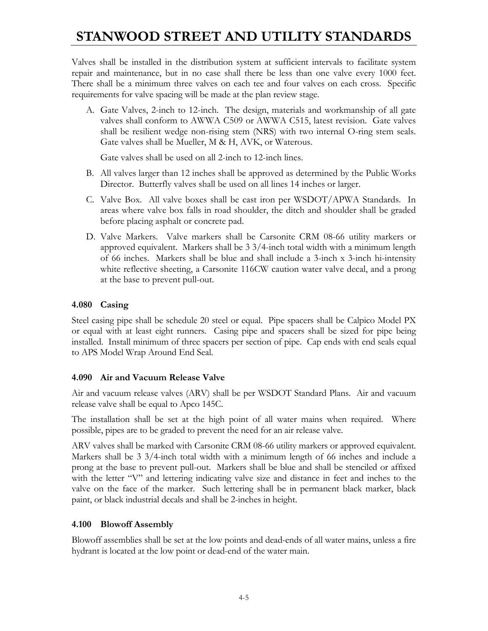Valves shall be installed in the distribution system at sufficient intervals to facilitate system repair and maintenance, but in no case shall there be less than one valve every 1000 feet. There shall be a minimum three valves on each tee and four valves on each cross. Specific requirements for valve spacing will be made at the plan review stage.

A. Gate Valves, 2-inch to 12-inch. The design, materials and workmanship of all gate valves shall conform to AWWA C509 or AWWA C515, latest revision. Gate valves shall be resilient wedge non-rising stem (NRS) with two internal O-ring stem seals. Gate valves shall be Mueller, M & H, AVK, or Waterous.

Gate valves shall be used on all 2-inch to 12-inch lines.

- B. All valves larger than 12 inches shall be approved as determined by the Public Works Director. Butterfly valves shall be used on all lines 14 inches or larger.
- C. Valve Box. All valve boxes shall be cast iron per WSDOT/APWA Standards. In areas where valve box falls in road shoulder, the ditch and shoulder shall be graded before placing asphalt or concrete pad.
- D. Valve Markers. Valve markers shall be Carsonite CRM 08-66 utility markers or approved equivalent. Markers shall be 3 3/4-inch total width with a minimum length of 66 inches. Markers shall be blue and shall include a 3-inch x 3-inch hi-intensity white reflective sheeting, a Carsonite 116CW caution water valve decal, and a prong at the base to prevent pull-out.

### **4.080 Casing**

Steel casing pipe shall be schedule 20 steel or equal. Pipe spacers shall be Calpico Model PX or equal with at least eight runners. Casing pipe and spacers shall be sized for pipe being installed. Install minimum of three spacers per section of pipe. Cap ends with end seals equal to APS Model Wrap Around End Seal.

#### **4.090 Air and Vacuum Release Valve**

Air and vacuum release valves (ARV) shall be per WSDOT Standard Plans. Air and vacuum release valve shall be equal to Apco 145C.

The installation shall be set at the high point of all water mains when required. Where possible, pipes are to be graded to prevent the need for an air release valve.

ARV valves shall be marked with Carsonite CRM 08-66 utility markers or approved equivalent. Markers shall be 3 3/4-inch total width with a minimum length of 66 inches and include a prong at the base to prevent pull-out. Markers shall be blue and shall be stenciled or affixed with the letter "V" and lettering indicating valve size and distance in feet and inches to the valve on the face of the marker. Such lettering shall be in permanent black marker, black paint, or black industrial decals and shall be 2-inches in height.

### **4.100 Blowoff Assembly**

Blowoff assemblies shall be set at the low points and dead-ends of all water mains, unless a fire hydrant is located at the low point or dead-end of the water main.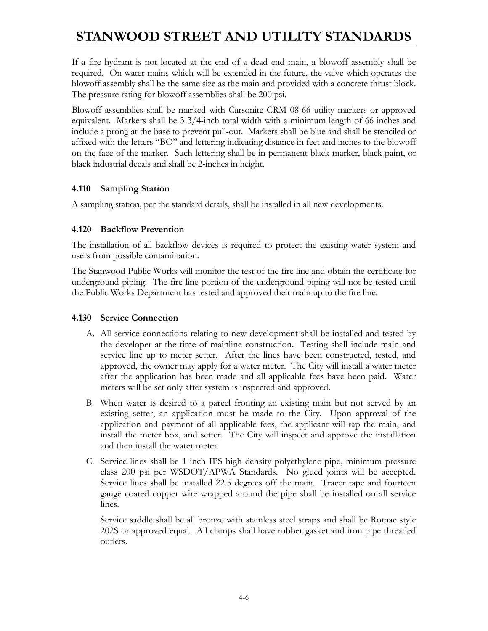If a fire hydrant is not located at the end of a dead end main, a blowoff assembly shall be required. On water mains which will be extended in the future, the valve which operates the blowoff assembly shall be the same size as the main and provided with a concrete thrust block. The pressure rating for blowoff assemblies shall be 200 psi.

Blowoff assemblies shall be marked with Carsonite CRM 08-66 utility markers or approved equivalent. Markers shall be 3 3/4-inch total width with a minimum length of 66 inches and include a prong at the base to prevent pull-out. Markers shall be blue and shall be stenciled or affixed with the letters "BO" and lettering indicating distance in feet and inches to the blowoff on the face of the marker. Such lettering shall be in permanent black marker, black paint, or black industrial decals and shall be 2-inches in height.

### **4.110 Sampling Station**

A sampling station, per the standard details, shall be installed in all new developments.

### **4.120 Backflow Prevention**

The installation of all backflow devices is required to protect the existing water system and users from possible contamination.

The Stanwood Public Works will monitor the test of the fire line and obtain the certificate for underground piping. The fire line portion of the underground piping will not be tested until the Public Works Department has tested and approved their main up to the fire line.

#### **4.130 Service Connection**

- A. All service connections relating to new development shall be installed and tested by the developer at the time of mainline construction. Testing shall include main and service line up to meter setter. After the lines have been constructed, tested, and approved, the owner may apply for a water meter. The City will install a water meter after the application has been made and all applicable fees have been paid. Water meters will be set only after system is inspected and approved.
- B. When water is desired to a parcel fronting an existing main but not served by an existing setter, an application must be made to the City. Upon approval of the application and payment of all applicable fees, the applicant will tap the main, and install the meter box, and setter. The City will inspect and approve the installation and then install the water meter.
- C. Service lines shall be 1 inch IPS high density polyethylene pipe, minimum pressure class 200 psi per WSDOT/APWA Standards. No glued joints will be accepted. Service lines shall be installed 22.5 degrees off the main. Tracer tape and fourteen gauge coated copper wire wrapped around the pipe shall be installed on all service lines.

 Service saddle shall be all bronze with stainless steel straps and shall be Romac style 202S or approved equal. All clamps shall have rubber gasket and iron pipe threaded outlets.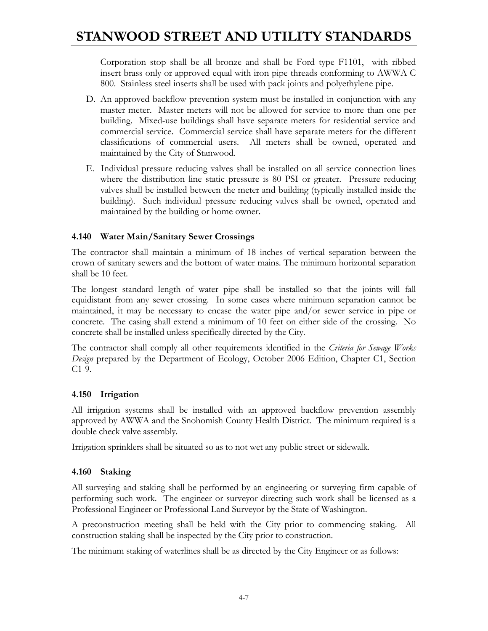Corporation stop shall be all bronze and shall be Ford type F1101, with ribbed insert brass only or approved equal with iron pipe threads conforming to AWWA C 800. Stainless steel inserts shall be used with pack joints and polyethylene pipe.

- D. An approved backflow prevention system must be installed in conjunction with any master meter. Master meters will not be allowed for service to more than one per building. Mixed-use buildings shall have separate meters for residential service and commercial service. Commercial service shall have separate meters for the different classifications of commercial users. All meters shall be owned, operated and maintained by the City of Stanwood.
- E. Individual pressure reducing valves shall be installed on all service connection lines where the distribution line static pressure is 80 PSI or greater. Pressure reducing valves shall be installed between the meter and building (typically installed inside the building). Such individual pressure reducing valves shall be owned, operated and maintained by the building or home owner.

### **4.140 Water Main/Sanitary Sewer Crossings**

The contractor shall maintain a minimum of 18 inches of vertical separation between the crown of sanitary sewers and the bottom of water mains. The minimum horizontal separation shall be 10 feet.

The longest standard length of water pipe shall be installed so that the joints will fall equidistant from any sewer crossing. In some cases where minimum separation cannot be maintained, it may be necessary to encase the water pipe and/or sewer service in pipe or concrete. The casing shall extend a minimum of 10 feet on either side of the crossing. No concrete shall be installed unless specifically directed by the City.

The contractor shall comply all other requirements identified in the *Criteria for Sewage Works Design* prepared by the Department of Ecology, October 2006 Edition, Chapter C1, Section C1-9.

### **4.150 Irrigation**

All irrigation systems shall be installed with an approved backflow prevention assembly approved by AWWA and the Snohomish County Health District. The minimum required is a double check valve assembly.

Irrigation sprinklers shall be situated so as to not wet any public street or sidewalk.

### **4.160 Staking**

All surveying and staking shall be performed by an engineering or surveying firm capable of performing such work. The engineer or surveyor directing such work shall be licensed as a Professional Engineer or Professional Land Surveyor by the State of Washington.

A preconstruction meeting shall be held with the City prior to commencing staking. All construction staking shall be inspected by the City prior to construction.

The minimum staking of waterlines shall be as directed by the City Engineer or as follows: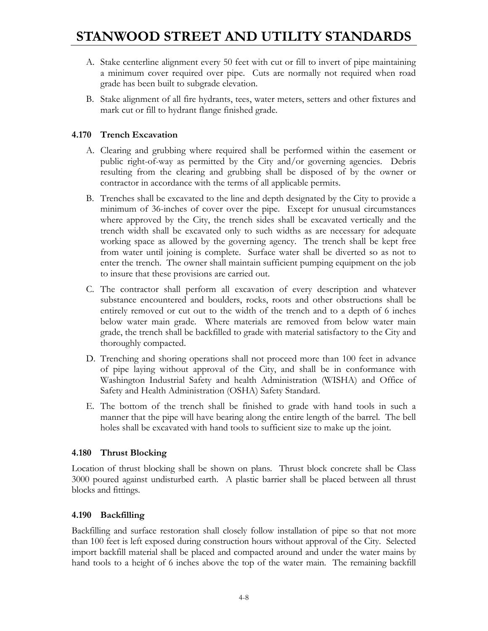- A. Stake centerline alignment every 50 feet with cut or fill to invert of pipe maintaining a minimum cover required over pipe. Cuts are normally not required when road grade has been built to subgrade elevation.
- B. Stake alignment of all fire hydrants, tees, water meters, setters and other fixtures and mark cut or fill to hydrant flange finished grade.

### **4.170 Trench Excavation**

- A. Clearing and grubbing where required shall be performed within the easement or public right-of-way as permitted by the City and/or governing agencies. Debris resulting from the clearing and grubbing shall be disposed of by the owner or contractor in accordance with the terms of all applicable permits.
- B. Trenches shall be excavated to the line and depth designated by the City to provide a minimum of 36-inches of cover over the pipe. Except for unusual circumstances where approved by the City, the trench sides shall be excavated vertically and the trench width shall be excavated only to such widths as are necessary for adequate working space as allowed by the governing agency. The trench shall be kept free from water until joining is complete. Surface water shall be diverted so as not to enter the trench. The owner shall maintain sufficient pumping equipment on the job to insure that these provisions are carried out.
- C. The contractor shall perform all excavation of every description and whatever substance encountered and boulders, rocks, roots and other obstructions shall be entirely removed or cut out to the width of the trench and to a depth of 6 inches below water main grade. Where materials are removed from below water main grade, the trench shall be backfilled to grade with material satisfactory to the City and thoroughly compacted.
- D. Trenching and shoring operations shall not proceed more than 100 feet in advance of pipe laying without approval of the City, and shall be in conformance with Washington Industrial Safety and health Administration (WISHA) and Office of Safety and Health Administration (OSHA) Safety Standard.
- E. The bottom of the trench shall be finished to grade with hand tools in such a manner that the pipe will have bearing along the entire length of the barrel. The bell holes shall be excavated with hand tools to sufficient size to make up the joint.

### **4.180 Thrust Blocking**

Location of thrust blocking shall be shown on plans. Thrust block concrete shall be Class 3000 poured against undisturbed earth. A plastic barrier shall be placed between all thrust blocks and fittings.

### **4.190 Backfilling**

Backfilling and surface restoration shall closely follow installation of pipe so that not more than 100 feet is left exposed during construction hours without approval of the City. Selected import backfill material shall be placed and compacted around and under the water mains by hand tools to a height of 6 inches above the top of the water main. The remaining backfill